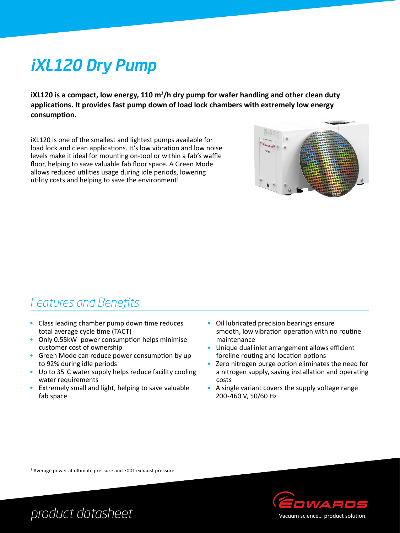# iXL120 Dry Pump

**iXL120 is a compact, low energy, 110 m3 /h dry pump for wafer handling and other clean duty applications. It provides fast pump down of load lock chambers with extremely low energy consumption.** 

iXL120 is one of the smallest and lightest pumps available for load lock and clean applications. It's low vibration and low noise levels make it ideal for mounting on-tool or within a fab's waffle floor, helping to save valuable fab floor space. A Green Mode allows reduced utilities usage during idle periods, lowering utility costs and helping to save the environment!



### *Features and Benefits*

- Class leading chamber pump down time reduces total average cycle time (TACT)
- Only  $0.55$ kW<sup>1</sup> power consumption helps minimise customer cost of ownership
- Green Mode can reduce power consumption by up to 92% during idle periods
- Up to 35°C water supply helps reduce facility cooling water requirements
- Extremely small and light, helping to save valuable fab space
- Oil lubricated precision bearings ensure smooth, low vibration operation with no routine maintenance
- Unique dual inlet arrangement allows efficient foreline routing and location options
- Zero nitrogen purge option eliminates the need for a nitrogen supply, saving installation and operating costs
- A single variant covers the supply voltage range 200-460 V, 50/60 Hz

<sup>1</sup> Average power at ultimate pressure and 700T exhaust pressure



*product datasheet*